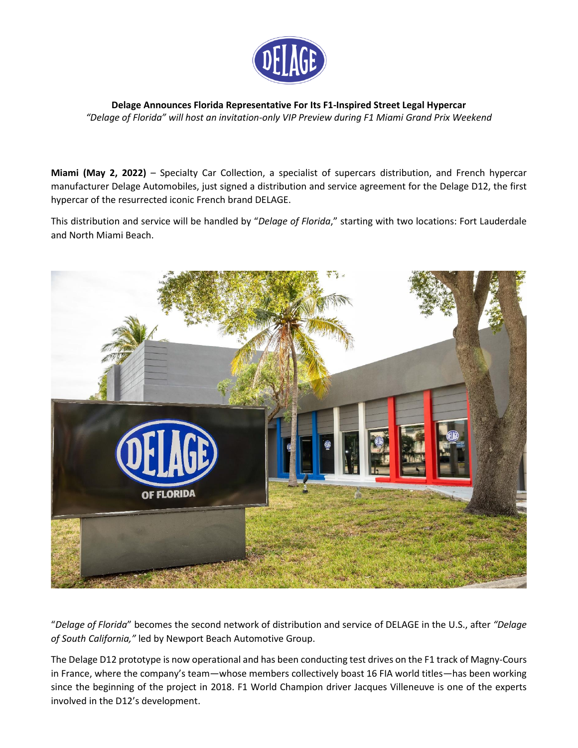

**Delage Announces Florida Representative For Its F1-Inspired Street Legal Hypercar** *"Delage of Florida" will host an invitation-only VIP Preview during F1 Miami Grand Prix Weekend*

**Miami (May 2, 2022)** – Specialty Car Collection, a specialist of supercars distribution, and French hypercar manufacturer Delage Automobiles, just signed a distribution and service agreement for the Delage D12, the first hypercar of the resurrected iconic French brand DELAGE.

This distribution and service will be handled by "*Delage of Florida*," starting with two locations: Fort Lauderdale and North Miami Beach.



"*Delage of Florida*" becomes the second network of distribution and service of DELAGE in the U.S., after *"Delage of South California,"* led by Newport Beach Automotive Group.

The Delage D12 prototype is now operational and has been conducting test drives on the F1 track of Magny-Cours in France, where the company's team—whose members collectively boast 16 FIA world titles—has been working since the beginning of the project in 2018. F1 World Champion driver Jacques Villeneuve is one of the experts involved in the D12's development.